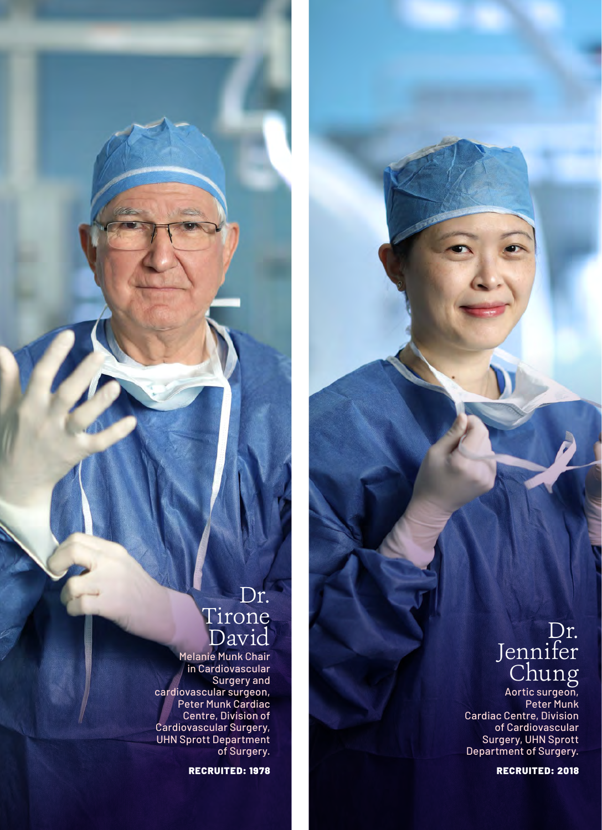# Dr. Tirone David

Melanie Munk Chair in Cardiovascular Surgery and cardiovascular surgeon, Peter Munk Cardiac Centre, Division of Cardiovascular Surgery, UHN Sprott Department of Surgery.

RECRUITED: 1978

# Dr. Jennifer Chung

Aortic surgeon, Peter Munk Cardiac Centre, Division of Cardiovascular Surgery, UHN Sprott Department of Surgery.

RECRUITED: 2018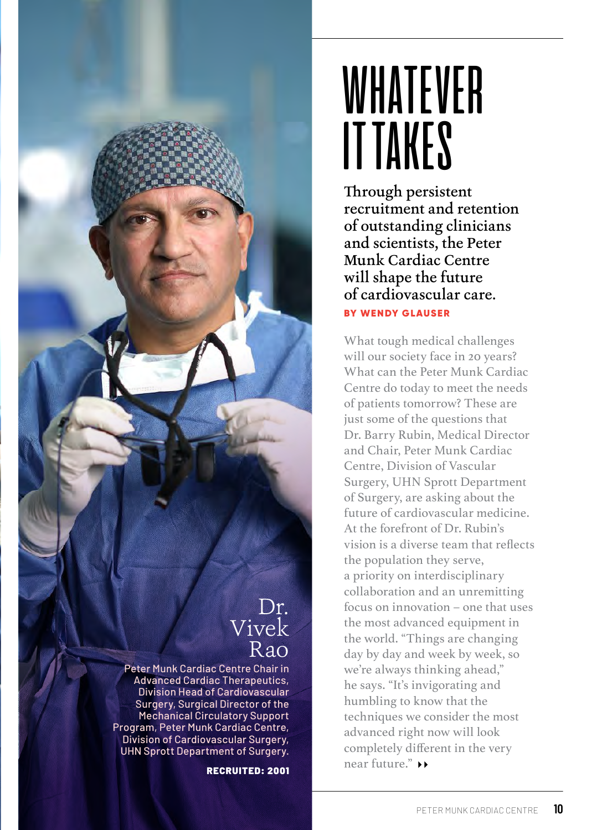

# WHATEVER IT TAKES

Through persistent recruitment and retention of outstanding clinicians and scientists, the Peter Munk Cardiac Centre will shape the future of cardiovascular care. BY WENDY GLAUSER

What tough medical challenges will our society face in 20 years? What can the Peter Munk Cardiac Centre do today to meet the needs of patients tomorrow? These are just some of the questions that Dr. Barry Rubin, Medical Director and Chair, Peter Munk Cardiac Centre, Division of Vascular Surgery, UHN Sprott Department of Surgery, are asking about the future of cardiovascular medicine. At the forefront of Dr. Rubin's vision is a diverse team that reflects the population they serve, a priority on interdisciplinary collaboration and an unremitting focus on innovation – one that uses the most advanced equipment in the world. "Things are changing day by day and week by week, so we're always thinking ahead," he says. "It's invigorating and humbling to know that the techniques we consider the most advanced right now will look completely different in the very near future."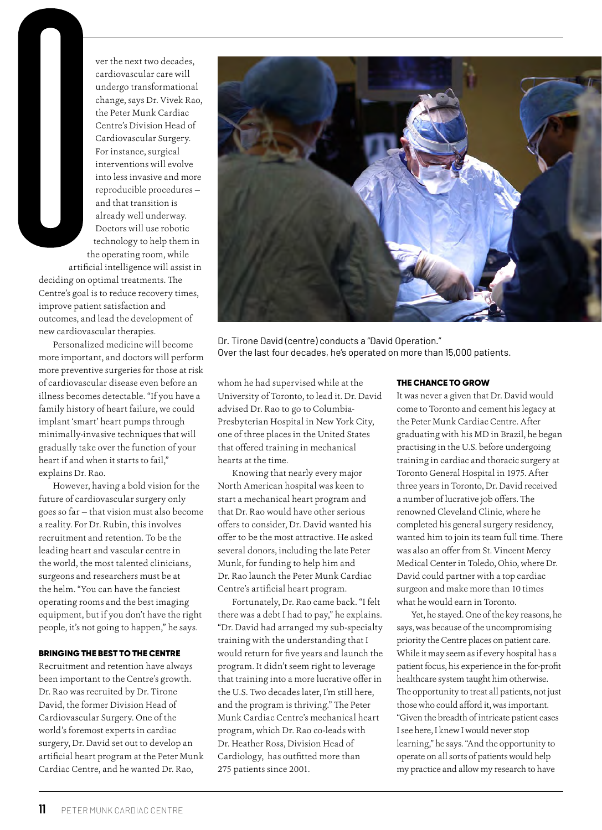ver the next two decades, cardiovascular care will undergo transformational change, says Dr. Vivek Rao, the Peter Munk Cardiac Centre's Division Head of Cardiovascular Surgery. For instance, surgical interventions will evolve into less invasive and more reproducible procedures and that transition is already well underway. Doctors will use robotic technology to help them in the operating room, while

artificial intelligence will assist in deciding on optimal treatments. The Centre's goal is to reduce recovery times, improve patient satisfaction and outcomes, and lead the development of new cardiovascular therapies.

Personalized medicine will become more important, and doctors will perform more preventive surgeries for those at risk of cardiovascular disease even before an illness becomes detectable. "If you have a family history of heart failure, we could implant 'smart' heart pumps through minimally-invasive techniques that will gradually take over the function of your heart if and when it starts to fail," explains Dr. Rao.

However, having a bold vision for the future of cardiovascular surgery only goes so far — that vision must also become a reality. For Dr. Rubin, this involves recruitment and retention. To be the leading heart and vascular centre in the world, the most talented clinicians, surgeons and researchers must be at the helm. "You can have the fanciest operating rooms and the best imaging equipment, but if you don't have the right people, it's not going to happen," he says.

### BRINGING THE BEST TO THE CENTRE

Recruitment and retention have always been important to the Centre's growth. Dr. Rao was recruited by Dr. Tirone David, the former Division Head of Cardiovascular Surgery. One of the world's foremost experts in cardiac surgery, Dr. David set out to develop an artificial heart program at the Peter Munk Cardiac Centre, and he wanted Dr. Rao,



Dr. Tirone David (centre) conducts a "David Operation." Over the last four decades, he's operated on more than 15,000 patients.

whom he had supervised while at the University of Toronto, to lead it. Dr. David advised Dr. Rao to go to Columbia-Presbyterian Hospital in New York City, one of three places in the United States that offered training in mechanical hearts at the time.

Knowing that nearly every major North American hospital was keen to start a mechanical heart program and that Dr. Rao would have other serious offers to consider, Dr. David wanted his offer to be the most attractive. He asked several donors, including the late Peter Munk, for funding to help him and Dr. Rao launch the Peter Munk Cardiac Centre's artificial heart program.

Fortunately, Dr. Rao came back. "I felt there was a debt I had to pay," he explains. "Dr. David had arranged my sub-specialty training with the understanding that I would return for five years and launch the program. It didn't seem right to leverage that training into a more lucrative offer in the U.S. Two decades later, I'm still here, and the program is thriving." The Peter Munk Cardiac Centre's mechanical heart program, which Dr. Rao co-leads with Dr. Heather Ross, Division Head of Cardiology, has outfitted more than 275 patients since 2001.

#### THE CHANCE TO GROW

It was never a given that Dr. David would come to Toronto and cement his legacy at the Peter Munk Cardiac Centre. After graduating with his MD in Brazil, he began practising in the U.S. before undergoing training in cardiac and thoracic surgery at Toronto General Hospital in 1975. After three years in Toronto, Dr. David received a number of lucrative job offers. The renowned Cleveland Clinic, where he completed his general surgery residency, wanted him to join its team full time. There was also an offer from St. Vincent Mercy Medical Center in Toledo, Ohio, where Dr. David could partner with a top cardiac surgeon and make more than 10 times what he would earn in Toronto.

Yet, he stayed. One of the key reasons, he says, was because of the uncompromising priority the Centre places on patient care. While it may seem as if every hospital has a patient focus, his experience in the for-profit healthcare system taught him otherwise. The opportunity to treat all patients, not just those who could afford it, was important. "Given the breadth of intricate patient cases I see here, I knew I would never stop learning," he says. "And the opportunity to operate on all sorts of patients would help my practice and allow my research to have